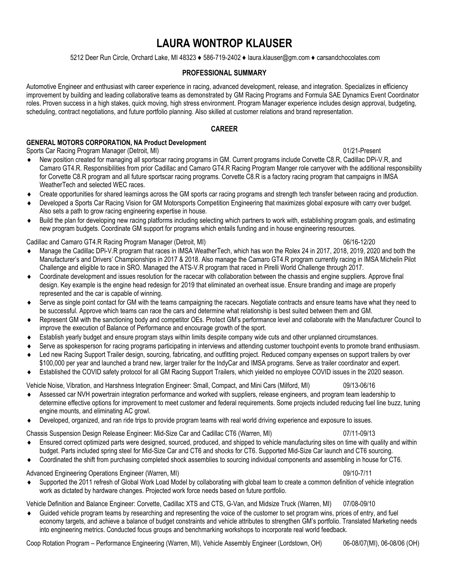# **LAURA WONTROP KLAUSER**

5212 Deer Run Circle, Orchard Lake, MI 48323 ♦ 586-719-2402 ♦ laura.klauser@gm.com ♦ carsandchocolates.com

# **PROFESSIONAL SUMMARY**

Automotive Engineer and enthusiast with career experience in racing, advanced development, release, and integration. Specializes in efficiency improvement by building and leading collaborative teams as demonstrated by GM Racing Programs and Formula SAE Dynamics Event Coordinator roles. Proven success in a high stakes, quick moving, high stress environment. Program Manager experience includes design approval, budgeting, scheduling, contract negotiations, and future portfolio planning. Also skilled at customer relations and brand representation.

# **CAREER**

# **GENERAL MOTORS CORPORATION, NA Product Development**

Sports Car Racing Program Manager (Detroit, MI) 01/21-Present

- New position created for managing all sportscar racing programs in GM. Current programs include Corvette C8.R, Cadillac DPi-V.R, and Camaro GT4.R. Responsibilities from prior Cadillac and Camaro GT4.R Racing Program Manger role carryover with the additional responsibility for Corvette C8.R program and all future sportscar racing programs. Corvette C8.R is a factory racing program that campaigns in IMSA WeatherTech and selected WEC races.
- Create opportunities for shared learnings across the GM sports car racing programs and strength tech transfer between racing and production.
- Developed a Sports Car Racing Vision for GM Motorsports Competition Engineering that maximizes global exposure with carry over budget. Also sets a path to grow racing engineering expertise in house.
- Build the plan for developing new racing platforms including selecting which partners to work with, establishing program goals, and estimating new program budgets. Coordinate GM support for programs which entails funding and in house engineering resources.

# Cadillac and Camaro GT4.R Racing Program Manager (Detroit, MI) 06/16-12/20

- Manage the Cadillac DPi-V.R program that races in IMSA WeatherTech, which has won the Rolex 24 in 2017, 2018, 2019, 2020 and both the Manufacturer's and Drivers' Championships in 2017 & 2018. Also manage the Camaro GT4.R program currently racing in IMSA Michelin Pilot Challenge and eligible to race in SRO. Managed the ATS-V.R program that raced in Pirelli World Challenge through 2017.
- Coordinate development and issues resolution for the racecar with collaboration between the chassis and engine suppliers. Approve final design. Key example is the engine head redesign for 2019 that eliminated an overheat issue. Ensure branding and image are properly represented and the car is capable of winning.
- Serve as single point contact for GM with the teams campaigning the racecars. Negotiate contracts and ensure teams have what they need to be successful. Approve which teams can race the cars and determine what relationship is best suited between them and GM.
- Represent GM with the sanctioning body and competitor OEs. Protect GM's performance level and collaborate with the Manufacturer Council to improve the execution of Balance of Performance and encourage growth of the sport.
- Establish yearly budget and ensure program stays within limits despite company wide cuts and other unplanned circumstances.
- Serve as spokesperson for racing programs participating in interviews and attending customer touchpoint events to promote brand enthusiasm.
- Led new Racing Support Trailer design, sourcing, fabricating, and outfitting project. Reduced company expenses on support trailers by over \$100,000 per year and launched a brand new, larger trailer for the IndyCar and IMSA programs. Serve as trailer coordinator and expert.
- Established the COVID safety protocol for all GM Racing Support Trailers, which yielded no employee COVID issues in the 2020 season.

Vehicle Noise, Vibration, and Harshness Integration Engineer: Small, Compact, and Mini Cars (Milford, MI) 09/13-06/16

- Assessed car NVH powertrain integration performance and worked with suppliers, release engineers, and program team leadership to determine effective options for improvement to meet customer and federal requirements. Some projects included reducing fuel line buzz, tuning engine mounts, and eliminating AC growl.
- Developed, organized, and ran ride trips to provide program teams with real world driving experience and exposure to issues.
- Chassis Suspension Design Release Engineer: Mid-Size Car and Cadillac CT6 (Warren, MI) 07/11-09/13
- Ensured correct optimized parts were designed, sourced, produced, and shipped to vehicle manufacturing sites on time with quality and within budget. Parts included spring steel for Mid-Size Car and CT6 and shocks for CT6. Supported Mid-Size Car launch and CT6 sourcing.
- Coordinated the shift from purchasing completed shock assemblies to sourcing individual components and assembling in house for CT6.

# Advanced Engineering Operations Engineer (Warren, MI) 09/10-7/11

 Supported the 2011 refresh of Global Work Load Model by collaborating with global team to create a common definition of vehicle integration work as dictated by hardware changes. Projected work force needs based on future portfolio.

Vehicle Definition and Balance Engineer: Corvette, Cadillac XTS and CTS, G-Van, and Midsize Truck (Warren, MI) 07/08-09/10

 Guided vehicle program teams by researching and representing the voice of the customer to set program wins, prices of entry, and fuel economy targets, and achieve a balance of budget constraints and vehicle attributes to strengthen GM's portfolio. Translated Marketing needs into engineering metrics. Conducted focus groups and benchmarking workshops to incorporate real world feedback.

Coop Rotation Program – Performance Engineering (Warren, MI), Vehicle Assembly Engineer (Lordstown, OH) 06-08/07(MI), 06-08/06 (OH)